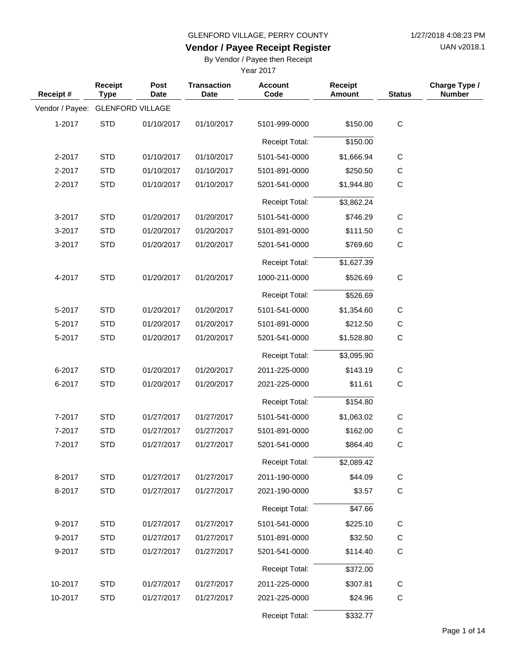UAN v2018.1

### **Vendor / Payee Receipt Register**

By Vendor / Payee then Receipt

| Receipt #       | Receipt<br><b>Type</b> | Post<br><b>Date</b>     | <b>Transaction</b><br><b>Date</b> | <b>Account</b><br>Code | <b>Receipt</b><br><b>Amount</b> | <b>Status</b> | Charge Type /<br><b>Number</b> |
|-----------------|------------------------|-------------------------|-----------------------------------|------------------------|---------------------------------|---------------|--------------------------------|
| Vendor / Payee: |                        | <b>GLENFORD VILLAGE</b> |                                   |                        |                                 |               |                                |
| 1-2017          | <b>STD</b>             | 01/10/2017              | 01/10/2017                        | 5101-999-0000          | \$150.00                        | $\mathsf C$   |                                |
|                 |                        |                         |                                   | Receipt Total:         | \$150.00                        |               |                                |
| 2-2017          | <b>STD</b>             | 01/10/2017              | 01/10/2017                        | 5101-541-0000          | \$1,666.94                      | C             |                                |
| 2-2017          | <b>STD</b>             | 01/10/2017              | 01/10/2017                        | 5101-891-0000          | \$250.50                        | $\mathsf{C}$  |                                |
| 2-2017          | <b>STD</b>             | 01/10/2017              | 01/10/2017                        | 5201-541-0000          | \$1,944.80                      | $\mathsf{C}$  |                                |
|                 |                        |                         |                                   | <b>Receipt Total:</b>  | \$3,862.24                      |               |                                |
| 3-2017          | <b>STD</b>             | 01/20/2017              | 01/20/2017                        | 5101-541-0000          | \$746.29                        | $\mathsf C$   |                                |
| 3-2017          | <b>STD</b>             | 01/20/2017              | 01/20/2017                        | 5101-891-0000          | \$111.50                        | C             |                                |
| 3-2017          | <b>STD</b>             | 01/20/2017              | 01/20/2017                        | 5201-541-0000          | \$769.60                        | $\mathsf C$   |                                |
|                 |                        |                         |                                   | <b>Receipt Total:</b>  | \$1,627.39                      |               |                                |
| 4-2017          | <b>STD</b>             | 01/20/2017              | 01/20/2017                        | 1000-211-0000          | \$526.69                        | $\mathsf C$   |                                |
|                 |                        |                         |                                   | <b>Receipt Total:</b>  | \$526.69                        |               |                                |
| 5-2017          | <b>STD</b>             | 01/20/2017              | 01/20/2017                        | 5101-541-0000          | \$1,354.60                      | $\mathsf{C}$  |                                |
| 5-2017          | <b>STD</b>             | 01/20/2017              | 01/20/2017                        | 5101-891-0000          | \$212.50                        | $\mathsf{C}$  |                                |
| 5-2017          | <b>STD</b>             | 01/20/2017              | 01/20/2017                        | 5201-541-0000          | \$1,528.80                      | $\mathsf{C}$  |                                |
|                 |                        |                         |                                   | <b>Receipt Total:</b>  | \$3,095.90                      |               |                                |
| 6-2017          | <b>STD</b>             | 01/20/2017              | 01/20/2017                        | 2011-225-0000          | \$143.19                        | C             |                                |
| 6-2017          | <b>STD</b>             | 01/20/2017              | 01/20/2017                        | 2021-225-0000          | \$11.61                         | C             |                                |
|                 |                        |                         |                                   | <b>Receipt Total:</b>  | \$154.80                        |               |                                |
| 7-2017          | <b>STD</b>             | 01/27/2017              | 01/27/2017                        | 5101-541-0000          | \$1,063.02                      | C             |                                |
| 7-2017          | <b>STD</b>             | 01/27/2017              | 01/27/2017                        | 5101-891-0000          | \$162.00                        | C             |                                |
| 7-2017          | <b>STD</b>             | 01/27/2017              | 01/27/2017                        | 5201-541-0000          | \$864.40                        | $\mathsf C$   |                                |
|                 |                        |                         |                                   | Receipt Total:         | \$2,089.42                      |               |                                |
| 8-2017          | <b>STD</b>             | 01/27/2017              | 01/27/2017                        | 2011-190-0000          | \$44.09                         | $\mathsf C$   |                                |
| 8-2017          | <b>STD</b>             | 01/27/2017              | 01/27/2017                        | 2021-190-0000          | \$3.57                          | $\mathbf C$   |                                |
|                 |                        |                         |                                   | Receipt Total:         | \$47.66                         |               |                                |
| 9-2017          | <b>STD</b>             | 01/27/2017              | 01/27/2017                        | 5101-541-0000          | \$225.10                        | $\mathsf C$   |                                |
| 9-2017          | <b>STD</b>             | 01/27/2017              | 01/27/2017                        | 5101-891-0000          | \$32.50                         | $\mathsf{C}$  |                                |
| 9-2017          | <b>STD</b>             | 01/27/2017              | 01/27/2017                        | 5201-541-0000          | \$114.40                        | C             |                                |
|                 |                        |                         |                                   | Receipt Total:         | \$372.00                        |               |                                |
| 10-2017         | <b>STD</b>             | 01/27/2017              | 01/27/2017                        | 2011-225-0000          | \$307.81                        | $\mathsf C$   |                                |
| 10-2017         | <b>STD</b>             | 01/27/2017              | 01/27/2017                        | 2021-225-0000          | \$24.96                         | C             |                                |
|                 |                        |                         |                                   | Receipt Total:         | \$332.77                        |               |                                |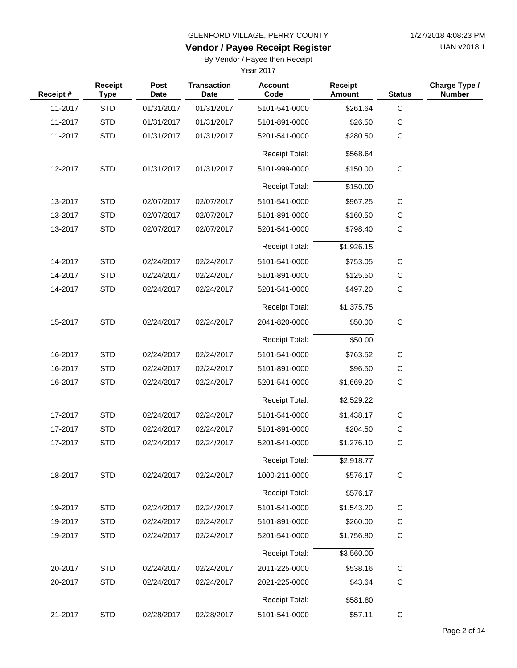UAN v2018.1

# **Vendor / Payee Receipt Register**

By Vendor / Payee then Receipt

| Receipt# | Receipt<br><b>Type</b> | <b>Post</b><br><b>Date</b> | <b>Transaction</b><br><b>Date</b> | <b>Account</b><br>Code | <b>Receipt</b><br><b>Amount</b> | <b>Status</b> | Charge Type /<br><b>Number</b> |
|----------|------------------------|----------------------------|-----------------------------------|------------------------|---------------------------------|---------------|--------------------------------|
| 11-2017  | <b>STD</b>             | 01/31/2017                 | 01/31/2017                        | 5101-541-0000          | \$261.64                        | $\mathbf C$   |                                |
| 11-2017  | <b>STD</b>             | 01/31/2017                 | 01/31/2017                        | 5101-891-0000          | \$26.50                         | C             |                                |
| 11-2017  | <b>STD</b>             | 01/31/2017                 | 01/31/2017                        | 5201-541-0000          | \$280.50                        | $\mathsf C$   |                                |
|          |                        |                            |                                   | <b>Receipt Total:</b>  | \$568.64                        |               |                                |
| 12-2017  | <b>STD</b>             | 01/31/2017                 | 01/31/2017                        | 5101-999-0000          | \$150.00                        | C             |                                |
|          |                        |                            |                                   | <b>Receipt Total:</b>  | \$150.00                        |               |                                |
| 13-2017  | <b>STD</b>             | 02/07/2017                 | 02/07/2017                        | 5101-541-0000          | \$967.25                        | C             |                                |
| 13-2017  | <b>STD</b>             | 02/07/2017                 | 02/07/2017                        | 5101-891-0000          | \$160.50                        | $\mathsf C$   |                                |
| 13-2017  | <b>STD</b>             | 02/07/2017                 | 02/07/2017                        | 5201-541-0000          | \$798.40                        | $\mathbf C$   |                                |
|          |                        |                            |                                   | Receipt Total:         | \$1,926.15                      |               |                                |
| 14-2017  | <b>STD</b>             | 02/24/2017                 | 02/24/2017                        | 5101-541-0000          | \$753.05                        | $\mathbf C$   |                                |
| 14-2017  | <b>STD</b>             | 02/24/2017                 | 02/24/2017                        | 5101-891-0000          | \$125.50                        | $\mathsf C$   |                                |
| 14-2017  | <b>STD</b>             | 02/24/2017                 | 02/24/2017                        | 5201-541-0000          | \$497.20                        | $\mathbf C$   |                                |
|          |                        |                            |                                   | Receipt Total:         | \$1,375.75                      |               |                                |
| 15-2017  | <b>STD</b>             | 02/24/2017                 | 02/24/2017                        | 2041-820-0000          | \$50.00                         | $\mathbf C$   |                                |
|          |                        |                            |                                   | <b>Receipt Total:</b>  | \$50.00                         |               |                                |
| 16-2017  | <b>STD</b>             | 02/24/2017                 | 02/24/2017                        | 5101-541-0000          | \$763.52                        | C             |                                |
| 16-2017  | <b>STD</b>             | 02/24/2017                 | 02/24/2017                        | 5101-891-0000          | \$96.50                         | С             |                                |
| 16-2017  | <b>STD</b>             | 02/24/2017                 | 02/24/2017                        | 5201-541-0000          | \$1,669.20                      | $\mathbf C$   |                                |
|          |                        |                            |                                   | <b>Receipt Total:</b>  | \$2,529.22                      |               |                                |
| 17-2017  | <b>STD</b>             | 02/24/2017                 | 02/24/2017                        | 5101-541-0000          | \$1,438.17                      | C             |                                |
| 17-2017  | <b>STD</b>             | 02/24/2017                 | 02/24/2017                        | 5101-891-0000          | \$204.50                        | С             |                                |
| 17-2017  | <b>STD</b>             | 02/24/2017                 | 02/24/2017                        | 5201-541-0000          | \$1,276.10                      | $\mathsf C$   |                                |
|          |                        |                            |                                   | <b>Receipt Total:</b>  | \$2,918.77                      |               |                                |
| 18-2017  | <b>STD</b>             | 02/24/2017                 | 02/24/2017                        | 1000-211-0000          | \$576.17                        | $\mathsf C$   |                                |
|          |                        |                            |                                   | Receipt Total:         | \$576.17                        |               |                                |
| 19-2017  | <b>STD</b>             | 02/24/2017                 | 02/24/2017                        | 5101-541-0000          | \$1,543.20                      | C             |                                |
| 19-2017  | <b>STD</b>             | 02/24/2017                 | 02/24/2017                        | 5101-891-0000          | \$260.00                        | $\mathsf C$   |                                |
| 19-2017  | <b>STD</b>             | 02/24/2017                 | 02/24/2017                        | 5201-541-0000          | \$1,756.80                      | $\mathsf C$   |                                |
|          |                        |                            |                                   | <b>Receipt Total:</b>  | \$3,560.00                      |               |                                |
| 20-2017  | <b>STD</b>             | 02/24/2017                 | 02/24/2017                        | 2011-225-0000          | \$538.16                        | $\mathsf C$   |                                |
| 20-2017  | <b>STD</b>             | 02/24/2017                 | 02/24/2017                        | 2021-225-0000          | \$43.64                         | C             |                                |
|          |                        |                            |                                   | Receipt Total:         | \$581.80                        |               |                                |
| 21-2017  | <b>STD</b>             | 02/28/2017                 | 02/28/2017                        | 5101-541-0000          | \$57.11                         | $\mathsf C$   |                                |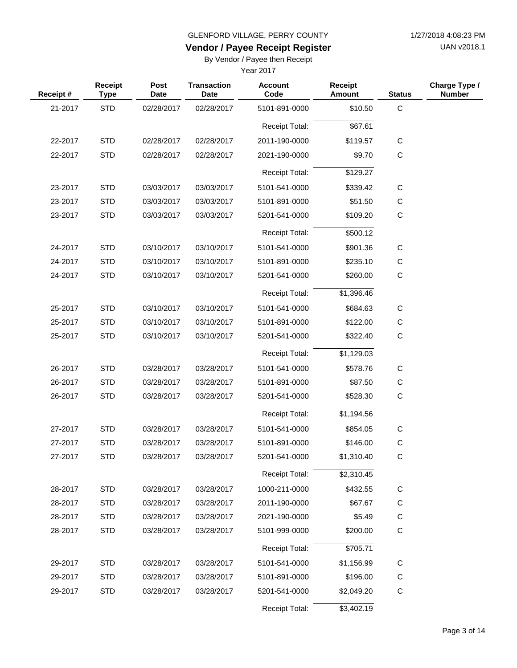UAN v2018.1

# **Vendor / Payee Receipt Register**

By Vendor / Payee then Receipt

| Receipt # | <b>Receipt</b><br><b>Type</b> | Post<br>Date | <b>Transaction</b><br><b>Date</b> | <b>Account</b><br>Code | <b>Receipt</b><br><b>Amount</b> | <b>Status</b> | Charge Type /<br><b>Number</b> |
|-----------|-------------------------------|--------------|-----------------------------------|------------------------|---------------------------------|---------------|--------------------------------|
| 21-2017   | <b>STD</b>                    | 02/28/2017   | 02/28/2017                        | 5101-891-0000          | \$10.50                         | $\mathsf C$   |                                |
|           |                               |              |                                   | <b>Receipt Total:</b>  | \$67.61                         |               |                                |
| 22-2017   | <b>STD</b>                    | 02/28/2017   | 02/28/2017                        | 2011-190-0000          | \$119.57                        | $\mathbf C$   |                                |
| 22-2017   | <b>STD</b>                    | 02/28/2017   | 02/28/2017                        | 2021-190-0000          | \$9.70                          | $\mathbf C$   |                                |
|           |                               |              |                                   | <b>Receipt Total:</b>  | \$129.27                        |               |                                |
| 23-2017   | <b>STD</b>                    | 03/03/2017   | 03/03/2017                        | 5101-541-0000          | \$339.42                        | C             |                                |
| 23-2017   | <b>STD</b>                    | 03/03/2017   | 03/03/2017                        | 5101-891-0000          | \$51.50                         | $\mathsf C$   |                                |
| 23-2017   | <b>STD</b>                    | 03/03/2017   | 03/03/2017                        | 5201-541-0000          | \$109.20                        | С             |                                |
|           |                               |              |                                   | <b>Receipt Total:</b>  | \$500.12                        |               |                                |
| 24-2017   | <b>STD</b>                    | 03/10/2017   | 03/10/2017                        | 5101-541-0000          | \$901.36                        | $\mathsf C$   |                                |
| 24-2017   | <b>STD</b>                    | 03/10/2017   | 03/10/2017                        | 5101-891-0000          | \$235.10                        | $\mathsf C$   |                                |
| 24-2017   | <b>STD</b>                    | 03/10/2017   | 03/10/2017                        | 5201-541-0000          | \$260.00                        | $\mathbf C$   |                                |
|           |                               |              |                                   | <b>Receipt Total:</b>  | \$1,396.46                      |               |                                |
| 25-2017   | <b>STD</b>                    | 03/10/2017   | 03/10/2017                        | 5101-541-0000          | \$684.63                        | С             |                                |
| 25-2017   | <b>STD</b>                    | 03/10/2017   | 03/10/2017                        | 5101-891-0000          | \$122.00                        | $\mathsf C$   |                                |
| 25-2017   | <b>STD</b>                    | 03/10/2017   | 03/10/2017                        | 5201-541-0000          | \$322.40                        | $\mathbf C$   |                                |
|           |                               |              |                                   | <b>Receipt Total:</b>  | \$1,129.03                      |               |                                |
| 26-2017   | <b>STD</b>                    | 03/28/2017   | 03/28/2017                        | 5101-541-0000          | \$578.76                        | С             |                                |
| 26-2017   | <b>STD</b>                    | 03/28/2017   | 03/28/2017                        | 5101-891-0000          | \$87.50                         | C             |                                |
| 26-2017   | <b>STD</b>                    | 03/28/2017   | 03/28/2017                        | 5201-541-0000          | \$528.30                        | $\mathbf C$   |                                |
|           |                               |              |                                   | <b>Receipt Total:</b>  | \$1,194.56                      |               |                                |
| 27-2017   | <b>STD</b>                    | 03/28/2017   | 03/28/2017                        | 5101-541-0000          | \$854.05                        | C             |                                |
| 27-2017   | <b>STD</b>                    | 03/28/2017   | 03/28/2017                        | 5101-891-0000          | \$146.00                        | С             |                                |
| 27-2017   | <b>STD</b>                    | 03/28/2017   | 03/28/2017                        | 5201-541-0000          | \$1,310.40                      | С             |                                |
|           |                               |              |                                   | <b>Receipt Total:</b>  | \$2,310.45                      |               |                                |
| 28-2017   | <b>STD</b>                    | 03/28/2017   | 03/28/2017                        | 1000-211-0000          | \$432.55                        | $\mathsf C$   |                                |
| 28-2017   | <b>STD</b>                    | 03/28/2017   | 03/28/2017                        | 2011-190-0000          | \$67.67                         | $\mathsf C$   |                                |
| 28-2017   | <b>STD</b>                    | 03/28/2017   | 03/28/2017                        | 2021-190-0000          | \$5.49                          | C             |                                |
| 28-2017   | <b>STD</b>                    | 03/28/2017   | 03/28/2017                        | 5101-999-0000          | \$200.00                        | $\mathbf C$   |                                |
|           |                               |              |                                   | Receipt Total:         | \$705.71                        |               |                                |
| 29-2017   | <b>STD</b>                    | 03/28/2017   | 03/28/2017                        | 5101-541-0000          | \$1,156.99                      | $\mathbf C$   |                                |
| 29-2017   | <b>STD</b>                    | 03/28/2017   | 03/28/2017                        | 5101-891-0000          | \$196.00                        | C             |                                |
| 29-2017   | <b>STD</b>                    | 03/28/2017   | 03/28/2017                        | 5201-541-0000          | \$2,049.20                      | C             |                                |
|           |                               |              |                                   | Receipt Total:         | \$3,402.19                      |               |                                |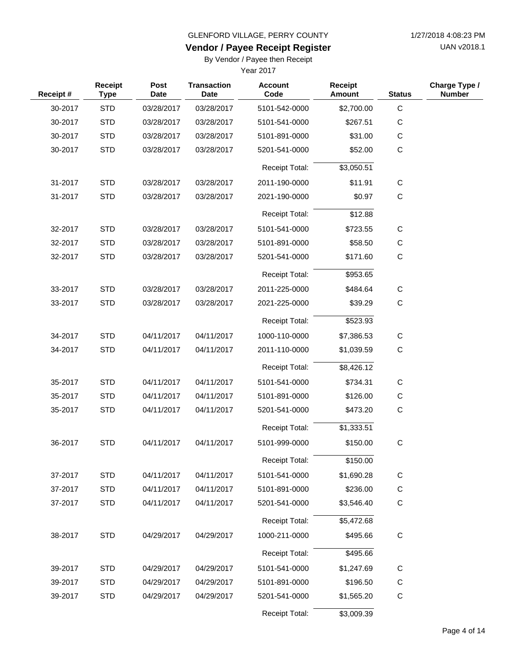UAN v2018.1

# **Vendor / Payee Receipt Register**

By Vendor / Payee then Receipt

| Receipt# | Receipt<br><b>Type</b> | Post<br><b>Date</b> | <b>Transaction</b><br><b>Date</b> | <b>Account</b><br>Code | <b>Receipt</b><br><b>Amount</b> | <b>Status</b> | Charge Type /<br><b>Number</b> |
|----------|------------------------|---------------------|-----------------------------------|------------------------|---------------------------------|---------------|--------------------------------|
| 30-2017  | <b>STD</b>             | 03/28/2017          | 03/28/2017                        | 5101-542-0000          | \$2,700.00                      | $\mathsf C$   |                                |
| 30-2017  | <b>STD</b>             | 03/28/2017          | 03/28/2017                        | 5101-541-0000          | \$267.51                        | $\mathsf C$   |                                |
| 30-2017  | <b>STD</b>             | 03/28/2017          | 03/28/2017                        | 5101-891-0000          | \$31.00                         | C             |                                |
| 30-2017  | <b>STD</b>             | 03/28/2017          | 03/28/2017                        | 5201-541-0000          | \$52.00                         | $\mathsf{C}$  |                                |
|          |                        |                     |                                   | <b>Receipt Total:</b>  | \$3,050.51                      |               |                                |
| 31-2017  | <b>STD</b>             | 03/28/2017          | 03/28/2017                        | 2011-190-0000          | \$11.91                         | $\mathbf C$   |                                |
| 31-2017  | <b>STD</b>             | 03/28/2017          | 03/28/2017                        | 2021-190-0000          | \$0.97                          | $\mathsf C$   |                                |
|          |                        |                     |                                   | <b>Receipt Total:</b>  | \$12.88                         |               |                                |
| 32-2017  | <b>STD</b>             | 03/28/2017          | 03/28/2017                        | 5101-541-0000          | \$723.55                        | $\mathsf C$   |                                |
| 32-2017  | <b>STD</b>             | 03/28/2017          | 03/28/2017                        | 5101-891-0000          | \$58.50                         | $\mathsf C$   |                                |
| 32-2017  | <b>STD</b>             | 03/28/2017          | 03/28/2017                        | 5201-541-0000          | \$171.60                        | C             |                                |
|          |                        |                     |                                   | <b>Receipt Total:</b>  | \$953.65                        |               |                                |
| 33-2017  | <b>STD</b>             | 03/28/2017          | 03/28/2017                        | 2011-225-0000          | \$484.64                        | C             |                                |
| 33-2017  | <b>STD</b>             | 03/28/2017          | 03/28/2017                        | 2021-225-0000          | \$39.29                         | $\mathsf C$   |                                |
|          |                        |                     |                                   | <b>Receipt Total:</b>  | \$523.93                        |               |                                |
| 34-2017  | <b>STD</b>             | 04/11/2017          | 04/11/2017                        | 1000-110-0000          | \$7,386.53                      | $\mathsf C$   |                                |
| 34-2017  | <b>STD</b>             | 04/11/2017          | 04/11/2017                        | 2011-110-0000          | \$1,039.59                      | $\mathsf C$   |                                |
|          |                        |                     |                                   | <b>Receipt Total:</b>  | \$8,426.12                      |               |                                |
| 35-2017  | <b>STD</b>             | 04/11/2017          | 04/11/2017                        | 5101-541-0000          | \$734.31                        | $\mathsf C$   |                                |
| 35-2017  | <b>STD</b>             | 04/11/2017          | 04/11/2017                        | 5101-891-0000          | \$126.00                        | $\mathsf C$   |                                |
| 35-2017  | <b>STD</b>             | 04/11/2017          | 04/11/2017                        | 5201-541-0000          | \$473.20                        | $\mathsf C$   |                                |
|          |                        |                     |                                   | <b>Receipt Total:</b>  | \$1,333.51                      |               |                                |
| 36-2017  | <b>STD</b>             | 04/11/2017          | 04/11/2017                        | 5101-999-0000          | \$150.00                        | $\mathsf C$   |                                |
|          |                        |                     |                                   | Receipt Total:         | \$150.00                        |               |                                |
| 37-2017  | <b>STD</b>             | 04/11/2017          | 04/11/2017                        | 5101-541-0000          | \$1,690.28                      | $\mathsf C$   |                                |
| 37-2017  | <b>STD</b>             | 04/11/2017          | 04/11/2017                        | 5101-891-0000          | \$236.00                        | C             |                                |
| 37-2017  | <b>STD</b>             | 04/11/2017          | 04/11/2017                        | 5201-541-0000          | \$3,546.40                      | $\mathsf C$   |                                |
|          |                        |                     |                                   | Receipt Total:         | \$5,472.68                      |               |                                |
| 38-2017  | <b>STD</b>             | 04/29/2017          | 04/29/2017                        | 1000-211-0000          | \$495.66                        | $\mathsf C$   |                                |
|          |                        |                     |                                   | Receipt Total:         | \$495.66                        |               |                                |
| 39-2017  | <b>STD</b>             | 04/29/2017          | 04/29/2017                        | 5101-541-0000          | \$1,247.69                      | C             |                                |
| 39-2017  | <b>STD</b>             | 04/29/2017          | 04/29/2017                        | 5101-891-0000          | \$196.50                        | C             |                                |
| 39-2017  | <b>STD</b>             | 04/29/2017          | 04/29/2017                        | 5201-541-0000          | \$1,565.20                      | $\mathsf C$   |                                |
|          |                        |                     |                                   | Receipt Total:         | \$3,009.39                      |               |                                |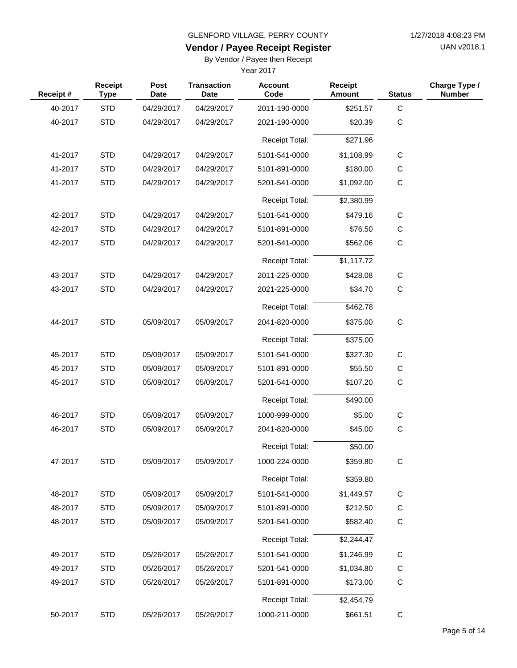UAN v2018.1

# **Vendor / Payee Receipt Register**

By Vendor / Payee then Receipt

| Receipt# | Receipt<br><b>Type</b> | Post<br><b>Date</b> | <b>Transaction</b><br><b>Date</b> | <b>Account</b><br>Code | <b>Receipt</b><br><b>Amount</b> | <b>Status</b> | Charge Type /<br><b>Number</b> |
|----------|------------------------|---------------------|-----------------------------------|------------------------|---------------------------------|---------------|--------------------------------|
| 40-2017  | <b>STD</b>             | 04/29/2017          | 04/29/2017                        | 2011-190-0000          | \$251.57                        | $\mathsf{C}$  |                                |
| 40-2017  | <b>STD</b>             | 04/29/2017          | 04/29/2017                        | 2021-190-0000          | \$20.39                         | $\mathsf C$   |                                |
|          |                        |                     |                                   | Receipt Total:         | \$271.96                        |               |                                |
| 41-2017  | <b>STD</b>             | 04/29/2017          | 04/29/2017                        | 5101-541-0000          | \$1,108.99                      | $\mathsf{C}$  |                                |
| 41-2017  | <b>STD</b>             | 04/29/2017          | 04/29/2017                        | 5101-891-0000          | \$180.00                        | $\mathsf{C}$  |                                |
| 41-2017  | <b>STD</b>             | 04/29/2017          | 04/29/2017                        | 5201-541-0000          | \$1,092.00                      | $\mathsf{C}$  |                                |
|          |                        |                     |                                   | <b>Receipt Total:</b>  | \$2,380.99                      |               |                                |
| 42-2017  | <b>STD</b>             | 04/29/2017          | 04/29/2017                        | 5101-541-0000          | \$479.16                        | $\mathsf{C}$  |                                |
| 42-2017  | <b>STD</b>             | 04/29/2017          | 04/29/2017                        | 5101-891-0000          | \$76.50                         | C             |                                |
| 42-2017  | <b>STD</b>             | 04/29/2017          | 04/29/2017                        | 5201-541-0000          | \$562.06                        | $\mathsf C$   |                                |
|          |                        |                     |                                   | <b>Receipt Total:</b>  | \$1,117.72                      |               |                                |
| 43-2017  | <b>STD</b>             | 04/29/2017          | 04/29/2017                        | 2011-225-0000          | \$428.08                        | $\mathsf C$   |                                |
| 43-2017  | <b>STD</b>             | 04/29/2017          | 04/29/2017                        | 2021-225-0000          | \$34.70                         | $\mathsf C$   |                                |
|          |                        |                     |                                   | <b>Receipt Total:</b>  | \$462.78                        |               |                                |
| 44-2017  | <b>STD</b>             | 05/09/2017          | 05/09/2017                        | 2041-820-0000          | \$375.00                        | $\mathsf{C}$  |                                |
|          |                        |                     |                                   | <b>Receipt Total:</b>  | \$375.00                        |               |                                |
| 45-2017  | <b>STD</b>             | 05/09/2017          | 05/09/2017                        | 5101-541-0000          | \$327.30                        | $\mathsf{C}$  |                                |
| 45-2017  | <b>STD</b>             | 05/09/2017          | 05/09/2017                        | 5101-891-0000          | \$55.50                         | C             |                                |
| 45-2017  | <b>STD</b>             | 05/09/2017          | 05/09/2017                        | 5201-541-0000          | \$107.20                        | $\mathsf{C}$  |                                |
|          |                        |                     |                                   | <b>Receipt Total:</b>  | \$490.00                        |               |                                |
| 46-2017  | <b>STD</b>             | 05/09/2017          | 05/09/2017                        | 1000-999-0000          | \$5.00                          | C             |                                |
| 46-2017  | <b>STD</b>             | 05/09/2017          | 05/09/2017                        | 2041-820-0000          | \$45.00                         | $\mathsf C$   |                                |
|          |                        |                     |                                   | <b>Receipt Total:</b>  | \$50.00                         |               |                                |
| 47-2017  | <b>STD</b>             | 05/09/2017          | 05/09/2017                        | 1000-224-0000          | \$359.80                        | C             |                                |
|          |                        |                     |                                   | Receipt Total:         | \$359.80                        |               |                                |
| 48-2017  | <b>STD</b>             | 05/09/2017          | 05/09/2017                        | 5101-541-0000          | \$1,449.57                      | $\mathsf C$   |                                |
| 48-2017  | <b>STD</b>             | 05/09/2017          | 05/09/2017                        | 5101-891-0000          | \$212.50                        | C             |                                |
| 48-2017  | <b>STD</b>             | 05/09/2017          | 05/09/2017                        | 5201-541-0000          | \$582.40                        | $\mathsf C$   |                                |
|          |                        |                     |                                   | <b>Receipt Total:</b>  | \$2,244.47                      |               |                                |
| 49-2017  | <b>STD</b>             | 05/26/2017          | 05/26/2017                        | 5101-541-0000          | \$1,246.99                      | $\mathsf{C}$  |                                |
| 49-2017  | <b>STD</b>             | 05/26/2017          | 05/26/2017                        | 5201-541-0000          | \$1,034.80                      | C             |                                |
| 49-2017  | <b>STD</b>             | 05/26/2017          | 05/26/2017                        | 5101-891-0000          | \$173.00                        | $\mathsf C$   |                                |
|          |                        |                     |                                   | Receipt Total:         | \$2,454.79                      |               |                                |
| 50-2017  | <b>STD</b>             | 05/26/2017          | 05/26/2017                        | 1000-211-0000          | \$661.51                        | $\mathsf C$   |                                |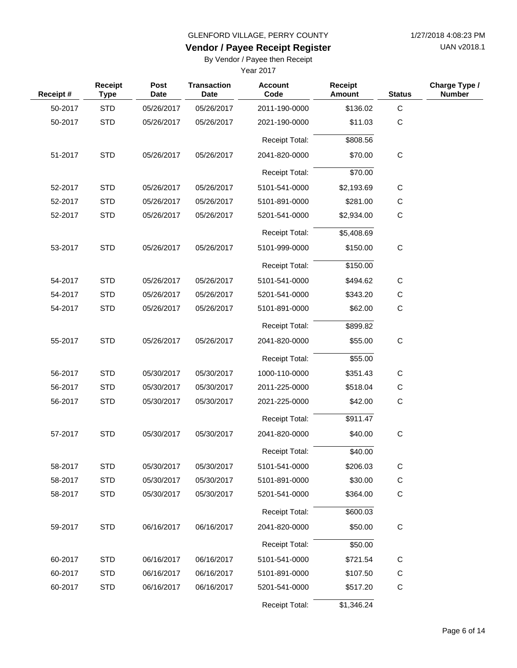UAN v2018.1

# **Vendor / Payee Receipt Register**

By Vendor / Payee then Receipt

| Receipt# | Receipt<br><b>Type</b> | <b>Post</b><br><b>Date</b> | <b>Transaction</b><br><b>Date</b> | <b>Account</b><br>Code | <b>Receipt</b><br><b>Amount</b> | <b>Status</b> | Charge Type /<br><b>Number</b> |
|----------|------------------------|----------------------------|-----------------------------------|------------------------|---------------------------------|---------------|--------------------------------|
| 50-2017  | <b>STD</b>             | 05/26/2017                 | 05/26/2017                        | 2011-190-0000          | \$136.02                        | C             |                                |
| 50-2017  | <b>STD</b>             | 05/26/2017                 | 05/26/2017                        | 2021-190-0000          | \$11.03                         | $\mathsf{C}$  |                                |
|          |                        |                            |                                   | <b>Receipt Total:</b>  | \$808.56                        |               |                                |
| 51-2017  | <b>STD</b>             | 05/26/2017                 | 05/26/2017                        | 2041-820-0000          | \$70.00                         | $\mathbf C$   |                                |
|          |                        |                            |                                   | <b>Receipt Total:</b>  | \$70.00                         |               |                                |
| 52-2017  | <b>STD</b>             | 05/26/2017                 | 05/26/2017                        | 5101-541-0000          | \$2,193.69                      | $\mathbf C$   |                                |
| 52-2017  | <b>STD</b>             | 05/26/2017                 | 05/26/2017                        | 5101-891-0000          | \$281.00                        | $\mathsf C$   |                                |
| 52-2017  | <b>STD</b>             | 05/26/2017                 | 05/26/2017                        | 5201-541-0000          | \$2,934.00                      | $\mathsf{C}$  |                                |
|          |                        |                            |                                   | Receipt Total:         | \$5,408.69                      |               |                                |
| 53-2017  | <b>STD</b>             | 05/26/2017                 | 05/26/2017                        | 5101-999-0000          | \$150.00                        | $\mathbf C$   |                                |
|          |                        |                            |                                   | Receipt Total:         | \$150.00                        |               |                                |
| 54-2017  | <b>STD</b>             | 05/26/2017                 | 05/26/2017                        | 5101-541-0000          | \$494.62                        | $\mathbf C$   |                                |
| 54-2017  | <b>STD</b>             | 05/26/2017                 | 05/26/2017                        | 5201-541-0000          | \$343.20                        | C             |                                |
| 54-2017  | <b>STD</b>             | 05/26/2017                 | 05/26/2017                        | 5101-891-0000          | \$62.00                         | $\mathbf C$   |                                |
|          |                        |                            |                                   | <b>Receipt Total:</b>  | \$899.82                        |               |                                |
| 55-2017  | <b>STD</b>             | 05/26/2017                 | 05/26/2017                        | 2041-820-0000          | \$55.00                         | $\mathbf C$   |                                |
|          |                        |                            |                                   | Receipt Total:         | \$55.00                         |               |                                |
| 56-2017  | <b>STD</b>             | 05/30/2017                 | 05/30/2017                        | 1000-110-0000          | \$351.43                        | $\mathbf C$   |                                |
| 56-2017  | <b>STD</b>             | 05/30/2017                 | 05/30/2017                        | 2011-225-0000          | \$518.04                        | C             |                                |
| 56-2017  | <b>STD</b>             | 05/30/2017                 | 05/30/2017                        | 2021-225-0000          | \$42.00                         | $\mathsf{C}$  |                                |
|          |                        |                            |                                   | Receipt Total:         | \$911.47                        |               |                                |
| 57-2017  | <b>STD</b>             | 05/30/2017                 | 05/30/2017                        | 2041-820-0000          | \$40.00                         | $\mathbf C$   |                                |
|          |                        |                            |                                   | Receipt Total:         | \$40.00                         |               |                                |
| 58-2017  | <b>STD</b>             | 05/30/2017                 | 05/30/2017                        | 5101-541-0000          | \$206.03                        | C             |                                |
| 58-2017  | <b>STD</b>             | 05/30/2017                 | 05/30/2017                        | 5101-891-0000          | \$30.00                         | $\mathsf C$   |                                |
| 58-2017  | <b>STD</b>             | 05/30/2017                 | 05/30/2017                        | 5201-541-0000          | \$364.00                        | C             |                                |
|          |                        |                            |                                   | Receipt Total:         | \$600.03                        |               |                                |
| 59-2017  | <b>STD</b>             | 06/16/2017                 | 06/16/2017                        | 2041-820-0000          | \$50.00                         | ${\bf C}$     |                                |
|          |                        |                            |                                   | <b>Receipt Total:</b>  | \$50.00                         |               |                                |
| 60-2017  | <b>STD</b>             | 06/16/2017                 | 06/16/2017                        | 5101-541-0000          | \$721.54                        | $\mathsf C$   |                                |
| 60-2017  | <b>STD</b>             | 06/16/2017                 | 06/16/2017                        | 5101-891-0000          | \$107.50                        | C             |                                |
| 60-2017  | <b>STD</b>             | 06/16/2017                 | 06/16/2017                        | 5201-541-0000          | \$517.20                        | $\mathbf C$   |                                |
|          |                        |                            |                                   | Receipt Total:         | \$1,346.24                      |               |                                |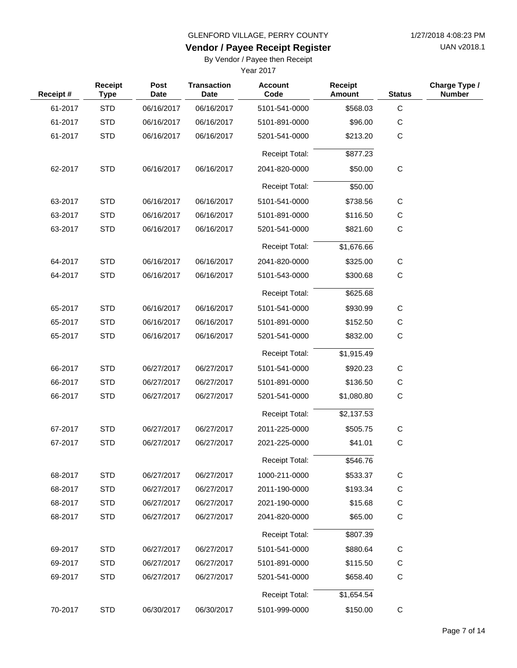UAN v2018.1

# **Vendor / Payee Receipt Register**

By Vendor / Payee then Receipt

| Receipt# | Receipt<br><b>Type</b> | Post<br><b>Date</b> | <b>Transaction</b><br><b>Date</b> | <b>Account</b><br>Code | <b>Receipt</b><br><b>Amount</b> | <b>Status</b> | Charge Type /<br><b>Number</b> |
|----------|------------------------|---------------------|-----------------------------------|------------------------|---------------------------------|---------------|--------------------------------|
| 61-2017  | <b>STD</b>             | 06/16/2017          | 06/16/2017                        | 5101-541-0000          | \$568.03                        | $\mathbf C$   |                                |
| 61-2017  | <b>STD</b>             | 06/16/2017          | 06/16/2017                        | 5101-891-0000          | \$96.00                         | $\mathsf C$   |                                |
| 61-2017  | <b>STD</b>             | 06/16/2017          | 06/16/2017                        | 5201-541-0000          | \$213.20                        | $\mathbf C$   |                                |
|          |                        |                     |                                   | <b>Receipt Total:</b>  | \$877.23                        |               |                                |
| 62-2017  | <b>STD</b>             | 06/16/2017          | 06/16/2017                        | 2041-820-0000          | \$50.00                         | $\mathbf C$   |                                |
|          |                        |                     |                                   | <b>Receipt Total:</b>  | \$50.00                         |               |                                |
| 63-2017  | <b>STD</b>             | 06/16/2017          | 06/16/2017                        | 5101-541-0000          | \$738.56                        | С             |                                |
| 63-2017  | <b>STD</b>             | 06/16/2017          | 06/16/2017                        | 5101-891-0000          | \$116.50                        | $\mathsf C$   |                                |
| 63-2017  | <b>STD</b>             | 06/16/2017          | 06/16/2017                        | 5201-541-0000          | \$821.60                        | С             |                                |
|          |                        |                     |                                   | <b>Receipt Total:</b>  | \$1,676.66                      |               |                                |
| 64-2017  | <b>STD</b>             | 06/16/2017          | 06/16/2017                        | 2041-820-0000          | \$325.00                        | $\mathsf C$   |                                |
| 64-2017  | <b>STD</b>             | 06/16/2017          | 06/16/2017                        | 5101-543-0000          | \$300.68                        | $\mathbf C$   |                                |
|          |                        |                     |                                   | <b>Receipt Total:</b>  | \$625.68                        |               |                                |
| 65-2017  | <b>STD</b>             | 06/16/2017          | 06/16/2017                        | 5101-541-0000          | \$930.99                        | C             |                                |
| 65-2017  | <b>STD</b>             | 06/16/2017          | 06/16/2017                        | 5101-891-0000          | \$152.50                        | $\mathsf C$   |                                |
| 65-2017  | <b>STD</b>             | 06/16/2017          | 06/16/2017                        | 5201-541-0000          | \$832.00                        | $\mathbf C$   |                                |
|          |                        |                     |                                   | <b>Receipt Total:</b>  | \$1,915.49                      |               |                                |
| 66-2017  | <b>STD</b>             | 06/27/2017          | 06/27/2017                        | 5101-541-0000          | \$920.23                        | С             |                                |
| 66-2017  | <b>STD</b>             | 06/27/2017          | 06/27/2017                        | 5101-891-0000          | \$136.50                        | $\mathsf C$   |                                |
| 66-2017  | <b>STD</b>             | 06/27/2017          | 06/27/2017                        | 5201-541-0000          | \$1,080.80                      | С             |                                |
|          |                        |                     |                                   | <b>Receipt Total:</b>  | \$2,137.53                      |               |                                |
| 67-2017  | <b>STD</b>             | 06/27/2017          | 06/27/2017                        | 2011-225-0000          | \$505.75                        | $\mathsf C$   |                                |
| 67-2017  | <b>STD</b>             | 06/27/2017          | 06/27/2017                        | 2021-225-0000          | \$41.01                         | $\mathsf C$   |                                |
|          |                        |                     |                                   | <b>Receipt Total:</b>  | \$546.76                        |               |                                |
| 68-2017  | <b>STD</b>             | 06/27/2017          | 06/27/2017                        | 1000-211-0000          | \$533.37                        | $\mathsf{C}$  |                                |
| 68-2017  | <b>STD</b>             | 06/27/2017          | 06/27/2017                        | 2011-190-0000          | \$193.34                        | $\mathsf C$   |                                |
| 68-2017  | <b>STD</b>             | 06/27/2017          | 06/27/2017                        | 2021-190-0000          | \$15.68                         | $\mathsf C$   |                                |
| 68-2017  | <b>STD</b>             | 06/27/2017          | 06/27/2017                        | 2041-820-0000          | \$65.00                         | $\mathsf C$   |                                |
|          |                        |                     |                                   | <b>Receipt Total:</b>  | \$807.39                        |               |                                |
| 69-2017  | <b>STD</b>             | 06/27/2017          | 06/27/2017                        | 5101-541-0000          | \$880.64                        | $\mathsf C$   |                                |
| 69-2017  | <b>STD</b>             | 06/27/2017          | 06/27/2017                        | 5101-891-0000          | \$115.50                        | $\mathsf C$   |                                |
| 69-2017  | <b>STD</b>             | 06/27/2017          | 06/27/2017                        | 5201-541-0000          | \$658.40                        | $\mathsf C$   |                                |
|          |                        |                     |                                   | <b>Receipt Total:</b>  | \$1,654.54                      |               |                                |
| 70-2017  | <b>STD</b>             | 06/30/2017          | 06/30/2017                        | 5101-999-0000          | \$150.00                        | C             |                                |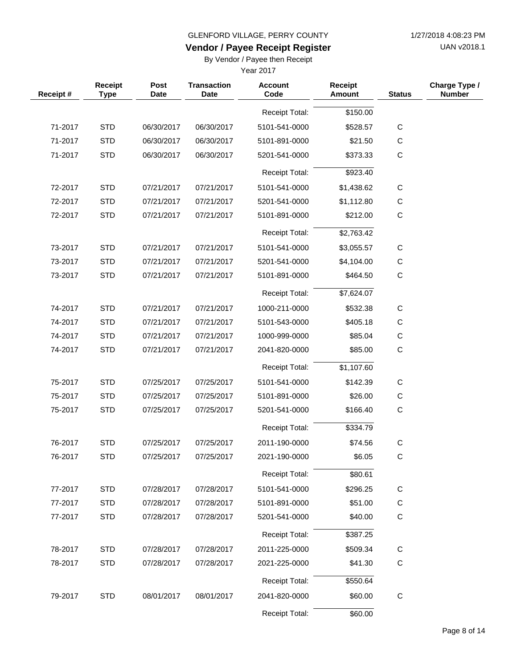UAN v2018.1

# **Vendor / Payee Receipt Register**

By Vendor / Payee then Receipt

| Receipt# | Receipt<br><b>Type</b> | Post<br><b>Date</b> | <b>Transaction</b><br><b>Date</b> | <b>Account</b><br>Code | Receipt<br>Amount | <b>Status</b> | Charge Type /<br><b>Number</b> |
|----------|------------------------|---------------------|-----------------------------------|------------------------|-------------------|---------------|--------------------------------|
|          |                        |                     |                                   | Receipt Total:         | \$150.00          |               |                                |
| 71-2017  | <b>STD</b>             | 06/30/2017          | 06/30/2017                        | 5101-541-0000          | \$528.57          | $\mathsf C$   |                                |
| 71-2017  | <b>STD</b>             | 06/30/2017          | 06/30/2017                        | 5101-891-0000          | \$21.50           | $\mathbf C$   |                                |
| 71-2017  | <b>STD</b>             | 06/30/2017          | 06/30/2017                        | 5201-541-0000          | \$373.33          | C             |                                |
|          |                        |                     |                                   | <b>Receipt Total:</b>  | \$923.40          |               |                                |
| 72-2017  | <b>STD</b>             | 07/21/2017          | 07/21/2017                        | 5101-541-0000          | \$1,438.62        | $\mathsf C$   |                                |
| 72-2017  | <b>STD</b>             | 07/21/2017          | 07/21/2017                        | 5201-541-0000          | \$1,112.80        | C             |                                |
| 72-2017  | <b>STD</b>             | 07/21/2017          | 07/21/2017                        | 5101-891-0000          | \$212.00          | C             |                                |
|          |                        |                     |                                   | <b>Receipt Total:</b>  | \$2,763.42        |               |                                |
| 73-2017  | <b>STD</b>             | 07/21/2017          | 07/21/2017                        | 5101-541-0000          | \$3,055.57        | $\mathsf C$   |                                |
| 73-2017  | <b>STD</b>             | 07/21/2017          | 07/21/2017                        | 5201-541-0000          | \$4,104.00        | C             |                                |
| 73-2017  | <b>STD</b>             | 07/21/2017          | 07/21/2017                        | 5101-891-0000          | \$464.50          | $\mathbf C$   |                                |
|          |                        |                     |                                   | <b>Receipt Total:</b>  | \$7,624.07        |               |                                |
| 74-2017  | <b>STD</b>             | 07/21/2017          | 07/21/2017                        | 1000-211-0000          | \$532.38          | $\mathsf C$   |                                |
| 74-2017  | <b>STD</b>             | 07/21/2017          | 07/21/2017                        | 5101-543-0000          | \$405.18          | $\mathsf{C}$  |                                |
| 74-2017  | <b>STD</b>             | 07/21/2017          | 07/21/2017                        | 1000-999-0000          | \$85.04           | C             |                                |
| 74-2017  | <b>STD</b>             | 07/21/2017          | 07/21/2017                        | 2041-820-0000          | \$85.00           | $\mathbf C$   |                                |
|          |                        |                     |                                   | <b>Receipt Total:</b>  | \$1,107.60        |               |                                |
| 75-2017  | <b>STD</b>             | 07/25/2017          | 07/25/2017                        | 5101-541-0000          | \$142.39          | C             |                                |
| 75-2017  | <b>STD</b>             | 07/25/2017          | 07/25/2017                        | 5101-891-0000          | \$26.00           | $\mathsf{C}$  |                                |
| 75-2017  | <b>STD</b>             | 07/25/2017          | 07/25/2017                        | 5201-541-0000          | \$166.40          | C             |                                |
|          |                        |                     |                                   | <b>Receipt Total:</b>  | \$334.79          |               |                                |
| 76-2017  | <b>STD</b>             | 07/25/2017          | 07/25/2017                        | 2011-190-0000          | \$74.56           | $\mathbf C$   |                                |
| 76-2017  | <b>STD</b>             | 07/25/2017          | 07/25/2017                        | 2021-190-0000          | \$6.05            | С             |                                |
|          |                        |                     |                                   | Receipt Total:         | \$80.61           |               |                                |
| 77-2017  | <b>STD</b>             | 07/28/2017          | 07/28/2017                        | 5101-541-0000          | \$296.25          | $\mathsf C$   |                                |
| 77-2017  | <b>STD</b>             | 07/28/2017          | 07/28/2017                        | 5101-891-0000          | \$51.00           | C             |                                |
| 77-2017  | <b>STD</b>             | 07/28/2017          | 07/28/2017                        | 5201-541-0000          | \$40.00           | $\mathsf C$   |                                |
|          |                        |                     |                                   | Receipt Total:         | \$387.25          |               |                                |
| 78-2017  | <b>STD</b>             | 07/28/2017          | 07/28/2017                        | 2011-225-0000          | \$509.34          | C             |                                |
| 78-2017  | <b>STD</b>             | 07/28/2017          | 07/28/2017                        | 2021-225-0000          | \$41.30           | $\mathbf C$   |                                |
|          |                        |                     |                                   | Receipt Total:         | \$550.64          |               |                                |
| 79-2017  | <b>STD</b>             | 08/01/2017          | 08/01/2017                        | 2041-820-0000          | \$60.00           | C             |                                |
|          |                        |                     |                                   | Receipt Total:         | \$60.00           |               |                                |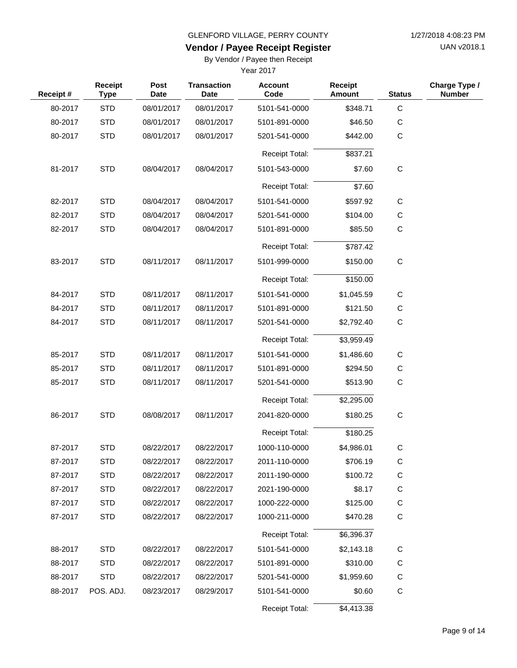UAN v2018.1

# **Vendor / Payee Receipt Register**

By Vendor / Payee then Receipt

| Receipt# | Receipt<br><b>Type</b> | Post<br><b>Date</b> | <b>Transaction</b><br><b>Date</b> | <b>Account</b><br>Code | <b>Receipt</b><br>Amount | <b>Status</b> | Charge Type /<br><b>Number</b> |
|----------|------------------------|---------------------|-----------------------------------|------------------------|--------------------------|---------------|--------------------------------|
| 80-2017  | <b>STD</b>             | 08/01/2017          | 08/01/2017                        | 5101-541-0000          | \$348.71                 | $\mathsf C$   |                                |
| 80-2017  | <b>STD</b>             | 08/01/2017          | 08/01/2017                        | 5101-891-0000          | \$46.50                  | $\mathsf C$   |                                |
| 80-2017  | <b>STD</b>             | 08/01/2017          | 08/01/2017                        | 5201-541-0000          | \$442.00                 | $\mathbf C$   |                                |
|          |                        |                     |                                   | <b>Receipt Total:</b>  | \$837.21                 |               |                                |
| 81-2017  | <b>STD</b>             | 08/04/2017          | 08/04/2017                        | 5101-543-0000          | \$7.60                   | $\mathbf C$   |                                |
|          |                        |                     |                                   | <b>Receipt Total:</b>  | \$7.60                   |               |                                |
| 82-2017  | <b>STD</b>             | 08/04/2017          | 08/04/2017                        | 5101-541-0000          | \$597.92                 | $\mathsf C$   |                                |
| 82-2017  | <b>STD</b>             | 08/04/2017          | 08/04/2017                        | 5201-541-0000          | \$104.00                 | С             |                                |
| 82-2017  | <b>STD</b>             | 08/04/2017          | 08/04/2017                        | 5101-891-0000          | \$85.50                  | $\mathsf C$   |                                |
|          |                        |                     |                                   | Receipt Total:         | \$787.42                 |               |                                |
| 83-2017  | <b>STD</b>             | 08/11/2017          | 08/11/2017                        | 5101-999-0000          | \$150.00                 | $\mathbf C$   |                                |
|          |                        |                     |                                   | <b>Receipt Total:</b>  | \$150.00                 |               |                                |
| 84-2017  | <b>STD</b>             | 08/11/2017          | 08/11/2017                        | 5101-541-0000          | \$1,045.59               | $\mathsf C$   |                                |
| 84-2017  | <b>STD</b>             | 08/11/2017          | 08/11/2017                        | 5101-891-0000          | \$121.50                 | $\mathsf C$   |                                |
| 84-2017  | <b>STD</b>             | 08/11/2017          | 08/11/2017                        | 5201-541-0000          | \$2,792.40               | $\mathsf C$   |                                |
|          |                        |                     |                                   | <b>Receipt Total:</b>  | \$3,959.49               |               |                                |
| 85-2017  | <b>STD</b>             | 08/11/2017          | 08/11/2017                        | 5101-541-0000          | \$1,486.60               | C             |                                |
| 85-2017  | <b>STD</b>             | 08/11/2017          | 08/11/2017                        | 5101-891-0000          | \$294.50                 | С             |                                |
| 85-2017  | <b>STD</b>             | 08/11/2017          | 08/11/2017                        | 5201-541-0000          | \$513.90                 | $\mathbf C$   |                                |
|          |                        |                     |                                   | <b>Receipt Total:</b>  | \$2,295.00               |               |                                |
| 86-2017  | <b>STD</b>             | 08/08/2017          | 08/11/2017                        | 2041-820-0000          | \$180.25                 | $\mathsf C$   |                                |
|          |                        |                     |                                   | <b>Receipt Total:</b>  | \$180.25                 |               |                                |
| 87-2017  | <b>STD</b>             | 08/22/2017          | 08/22/2017                        | 1000-110-0000          | \$4,986.01               | $\mathsf C$   |                                |
| 87-2017  | <b>STD</b>             | 08/22/2017          | 08/22/2017                        | 2011-110-0000          | \$706.19                 | $\mathsf C$   |                                |
| 87-2017  | <b>STD</b>             | 08/22/2017          | 08/22/2017                        | 2011-190-0000          | \$100.72                 | C             |                                |
| 87-2017  | <b>STD</b>             | 08/22/2017          | 08/22/2017                        | 2021-190-0000          | \$8.17                   | $\mathsf C$   |                                |
| 87-2017  | <b>STD</b>             | 08/22/2017          | 08/22/2017                        | 1000-222-0000          | \$125.00                 | $\mathsf C$   |                                |
| 87-2017  | <b>STD</b>             | 08/22/2017          | 08/22/2017                        | 1000-211-0000          | \$470.28                 | $\mathsf C$   |                                |
|          |                        |                     |                                   | <b>Receipt Total:</b>  | \$6,396.37               |               |                                |
| 88-2017  | <b>STD</b>             | 08/22/2017          | 08/22/2017                        | 5101-541-0000          | \$2,143.18               | C             |                                |
| 88-2017  | <b>STD</b>             | 08/22/2017          | 08/22/2017                        | 5101-891-0000          | \$310.00                 | $\mathsf C$   |                                |
| 88-2017  | <b>STD</b>             | 08/22/2017          | 08/22/2017                        | 5201-541-0000          | \$1,959.60               | C             |                                |
| 88-2017  | POS. ADJ.              | 08/23/2017          | 08/29/2017                        | 5101-541-0000          | \$0.60                   | $\mathsf C$   |                                |
|          |                        |                     |                                   | Receipt Total:         | \$4,413.38               |               |                                |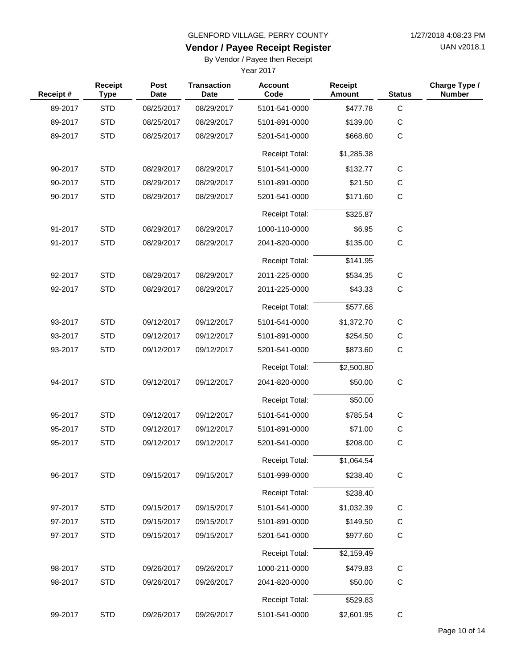UAN v2018.1

# **Vendor / Payee Receipt Register**

By Vendor / Payee then Receipt

| Receipt# | Receipt<br><b>Type</b> | Post<br><b>Date</b> | <b>Transaction</b><br><b>Date</b> | <b>Account</b><br>Code | <b>Receipt</b><br><b>Amount</b> | <b>Status</b> | Charge Type /<br><b>Number</b> |
|----------|------------------------|---------------------|-----------------------------------|------------------------|---------------------------------|---------------|--------------------------------|
| 89-2017  | <b>STD</b>             | 08/25/2017          | 08/29/2017                        | 5101-541-0000          | \$477.78                        | $\mathbf C$   |                                |
| 89-2017  | <b>STD</b>             | 08/25/2017          | 08/29/2017                        | 5101-891-0000          | \$139.00                        | C             |                                |
| 89-2017  | <b>STD</b>             | 08/25/2017          | 08/29/2017                        | 5201-541-0000          | \$668.60                        | C             |                                |
|          |                        |                     |                                   | <b>Receipt Total:</b>  | \$1,285.38                      |               |                                |
| 90-2017  | <b>STD</b>             | 08/29/2017          | 08/29/2017                        | 5101-541-0000          | \$132.77                        | C             |                                |
| 90-2017  | <b>STD</b>             | 08/29/2017          | 08/29/2017                        | 5101-891-0000          | \$21.50                         | С             |                                |
| 90-2017  | <b>STD</b>             | 08/29/2017          | 08/29/2017                        | 5201-541-0000          | \$171.60                        | C             |                                |
|          |                        |                     |                                   | <b>Receipt Total:</b>  | \$325.87                        |               |                                |
| 91-2017  | <b>STD</b>             | 08/29/2017          | 08/29/2017                        | 1000-110-0000          | \$6.95                          | C             |                                |
| 91-2017  | <b>STD</b>             | 08/29/2017          | 08/29/2017                        | 2041-820-0000          | \$135.00                        | C             |                                |
|          |                        |                     |                                   | <b>Receipt Total:</b>  | \$141.95                        |               |                                |
| 92-2017  | <b>STD</b>             | 08/29/2017          | 08/29/2017                        | 2011-225-0000          | \$534.35                        | С             |                                |
| 92-2017  | <b>STD</b>             | 08/29/2017          | 08/29/2017                        | 2011-225-0000          | \$43.33                         | C             |                                |
|          |                        |                     |                                   | <b>Receipt Total:</b>  | \$577.68                        |               |                                |
| 93-2017  | <b>STD</b>             | 09/12/2017          | 09/12/2017                        | 5101-541-0000          | \$1,372.70                      | С             |                                |
| 93-2017  | <b>STD</b>             | 09/12/2017          | 09/12/2017                        | 5101-891-0000          | \$254.50                        | C             |                                |
| 93-2017  | <b>STD</b>             | 09/12/2017          | 09/12/2017                        | 5201-541-0000          | \$873.60                        | C             |                                |
|          |                        |                     |                                   | <b>Receipt Total:</b>  | \$2,500.80                      |               |                                |
| 94-2017  | <b>STD</b>             | 09/12/2017          | 09/12/2017                        | 2041-820-0000          | \$50.00                         | $\mathbf C$   |                                |
|          |                        |                     |                                   | <b>Receipt Total:</b>  | \$50.00                         |               |                                |
| 95-2017  | <b>STD</b>             | 09/12/2017          | 09/12/2017                        | 5101-541-0000          | \$785.54                        | C             |                                |
| 95-2017  | <b>STD</b>             | 09/12/2017          | 09/12/2017                        | 5101-891-0000          | \$71.00                         | С             |                                |
| 95-2017  | <b>STD</b>             | 09/12/2017          | 09/12/2017                        | 5201-541-0000          | \$208.00                        | C             |                                |
|          |                        |                     |                                   | Receipt Total:         | \$1,064.54                      |               |                                |
| 96-2017  | <b>STD</b>             | 09/15/2017          | 09/15/2017                        | 5101-999-0000          | \$238.40                        | ${\bf C}$     |                                |
|          |                        |                     |                                   | Receipt Total:         | \$238.40                        |               |                                |
| 97-2017  | <b>STD</b>             | 09/15/2017          | 09/15/2017                        | 5101-541-0000          | \$1,032.39                      | C             |                                |
| 97-2017  | <b>STD</b>             | 09/15/2017          | 09/15/2017                        | 5101-891-0000          | \$149.50                        | C             |                                |
| 97-2017  | <b>STD</b>             | 09/15/2017          | 09/15/2017                        | 5201-541-0000          | \$977.60                        | $\mathsf C$   |                                |
|          |                        |                     |                                   | Receipt Total:         | \$2,159.49                      |               |                                |
| 98-2017  | <b>STD</b>             | 09/26/2017          | 09/26/2017                        | 1000-211-0000          | \$479.83                        | $\mathsf C$   |                                |
| 98-2017  | <b>STD</b>             | 09/26/2017          | 09/26/2017                        | 2041-820-0000          | \$50.00                         | C             |                                |
|          |                        |                     |                                   | Receipt Total:         | \$529.83                        |               |                                |
| 99-2017  | <b>STD</b>             | 09/26/2017          | 09/26/2017                        | 5101-541-0000          | \$2,601.95                      | $\mathsf C$   |                                |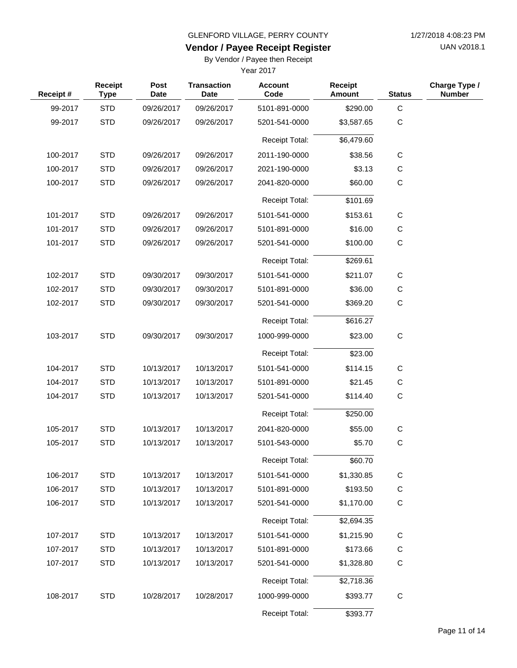UAN v2018.1

### **Vendor / Payee Receipt Register**

By Vendor / Payee then Receipt

| Receipt# | Receipt<br><b>Type</b> | <b>Post</b><br><b>Date</b> | <b>Transaction</b><br>Date | <b>Account</b><br>Code | <b>Receipt</b><br><b>Amount</b> | <b>Status</b> | Charge Type /<br><b>Number</b> |
|----------|------------------------|----------------------------|----------------------------|------------------------|---------------------------------|---------------|--------------------------------|
| 99-2017  | <b>STD</b>             | 09/26/2017                 | 09/26/2017                 | 5101-891-0000          | \$290.00                        | $\mathbf C$   |                                |
| 99-2017  | <b>STD</b>             | 09/26/2017                 | 09/26/2017                 | 5201-541-0000          | \$3,587.65                      | $\mathsf{C}$  |                                |
|          |                        |                            |                            | Receipt Total:         | \$6,479.60                      |               |                                |
| 100-2017 | <b>STD</b>             | 09/26/2017                 | 09/26/2017                 | 2011-190-0000          | \$38.56                         | $\mathsf{C}$  |                                |
| 100-2017 | <b>STD</b>             | 09/26/2017                 | 09/26/2017                 | 2021-190-0000          | \$3.13                          | C             |                                |
| 100-2017 | <b>STD</b>             | 09/26/2017                 | 09/26/2017                 | 2041-820-0000          | \$60.00                         | $\mathbf C$   |                                |
|          |                        |                            |                            | <b>Receipt Total:</b>  | \$101.69                        |               |                                |
| 101-2017 | <b>STD</b>             | 09/26/2017                 | 09/26/2017                 | 5101-541-0000          | \$153.61                        | $\mathbf C$   |                                |
| 101-2017 | <b>STD</b>             | 09/26/2017                 | 09/26/2017                 | 5101-891-0000          | \$16.00                         | С             |                                |
| 101-2017 | <b>STD</b>             | 09/26/2017                 | 09/26/2017                 | 5201-541-0000          | \$100.00                        | $\mathbf C$   |                                |
|          |                        |                            |                            | Receipt Total:         | \$269.61                        |               |                                |
| 102-2017 | <b>STD</b>             | 09/30/2017                 | 09/30/2017                 | 5101-541-0000          | \$211.07                        | $\mathbf C$   |                                |
| 102-2017 | <b>STD</b>             | 09/30/2017                 | 09/30/2017                 | 5101-891-0000          | \$36.00                         | C             |                                |
| 102-2017 | <b>STD</b>             | 09/30/2017                 | 09/30/2017                 | 5201-541-0000          | \$369.20                        | $\mathbf C$   |                                |
|          |                        |                            |                            | <b>Receipt Total:</b>  | \$616.27                        |               |                                |
| 103-2017 | <b>STD</b>             | 09/30/2017                 | 09/30/2017                 | 1000-999-0000          | \$23.00                         | $\mathbf C$   |                                |
|          |                        |                            |                            | <b>Receipt Total:</b>  | \$23.00                         |               |                                |
| 104-2017 | <b>STD</b>             | 10/13/2017                 | 10/13/2017                 | 5101-541-0000          | \$114.15                        | C             |                                |
| 104-2017 | <b>STD</b>             | 10/13/2017                 | 10/13/2017                 | 5101-891-0000          | \$21.45                         | C             |                                |
| 104-2017 | <b>STD</b>             | 10/13/2017                 | 10/13/2017                 | 5201-541-0000          | \$114.40                        | $\mathsf{C}$  |                                |
|          |                        |                            |                            | <b>Receipt Total:</b>  | \$250.00                        |               |                                |
| 105-2017 | <b>STD</b>             | 10/13/2017                 | 10/13/2017                 | 2041-820-0000          | \$55.00                         | C             |                                |
| 105-2017 | <b>STD</b>             | 10/13/2017                 | 10/13/2017                 | 5101-543-0000          | \$5.70                          | C             |                                |
|          |                        |                            |                            | Receipt Total:         | \$60.70                         |               |                                |
| 106-2017 | <b>STD</b>             | 10/13/2017                 | 10/13/2017                 | 5101-541-0000          | \$1,330.85                      | $\mathsf C$   |                                |
| 106-2017 | <b>STD</b>             | 10/13/2017                 | 10/13/2017                 | 5101-891-0000          | \$193.50                        | $\mathsf{C}$  |                                |
| 106-2017 | <b>STD</b>             | 10/13/2017                 | 10/13/2017                 | 5201-541-0000          | \$1,170.00                      | $\mathbf C$   |                                |
|          |                        |                            |                            | Receipt Total:         | \$2,694.35                      |               |                                |
| 107-2017 | <b>STD</b>             | 10/13/2017                 | 10/13/2017                 | 5101-541-0000          | \$1,215.90                      | C             |                                |
| 107-2017 | <b>STD</b>             | 10/13/2017                 | 10/13/2017                 | 5101-891-0000          | \$173.66                        | C             |                                |
| 107-2017 | <b>STD</b>             | 10/13/2017                 | 10/13/2017                 | 5201-541-0000          | \$1,328.80                      | $\mathsf C$   |                                |
|          |                        |                            |                            | Receipt Total:         | \$2,718.36                      |               |                                |
| 108-2017 | <b>STD</b>             | 10/28/2017                 | 10/28/2017                 | 1000-999-0000          | \$393.77                        | $\mathsf C$   |                                |
|          |                        |                            |                            | Receipt Total:         | \$393.77                        |               |                                |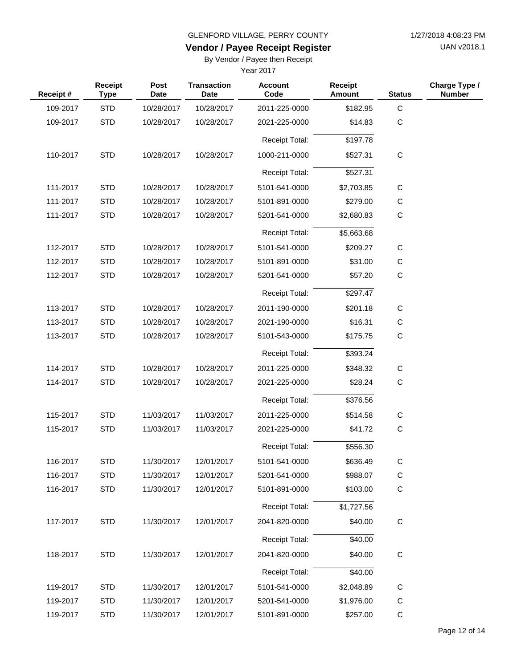UAN v2018.1

# **Vendor / Payee Receipt Register**

By Vendor / Payee then Receipt

| Receipt# | <b>Receipt</b><br><b>Type</b> | Post<br><b>Date</b> | <b>Transaction</b><br><b>Date</b> | <b>Account</b><br>Code | <b>Receipt</b><br>Amount | <b>Status</b> | Charge Type /<br><b>Number</b> |
|----------|-------------------------------|---------------------|-----------------------------------|------------------------|--------------------------|---------------|--------------------------------|
| 109-2017 | <b>STD</b>                    | 10/28/2017          | 10/28/2017                        | 2011-225-0000          | \$182.95                 | $\mathbf C$   |                                |
| 109-2017 | <b>STD</b>                    | 10/28/2017          | 10/28/2017                        | 2021-225-0000          | \$14.83                  | $\mathbf C$   |                                |
|          |                               |                     |                                   | <b>Receipt Total:</b>  | \$197.78                 |               |                                |
| 110-2017 | <b>STD</b>                    | 10/28/2017          | 10/28/2017                        | 1000-211-0000          | \$527.31                 | $\mathbf C$   |                                |
|          |                               |                     |                                   | <b>Receipt Total:</b>  | \$527.31                 |               |                                |
| 111-2017 | <b>STD</b>                    | 10/28/2017          | 10/28/2017                        | 5101-541-0000          | \$2,703.85               | $\mathsf C$   |                                |
| 111-2017 | <b>STD</b>                    | 10/28/2017          | 10/28/2017                        | 5101-891-0000          | \$279.00                 | C             |                                |
| 111-2017 | <b>STD</b>                    | 10/28/2017          | 10/28/2017                        | 5201-541-0000          | \$2,680.83               | $\mathsf C$   |                                |
|          |                               |                     |                                   | <b>Receipt Total:</b>  | \$5,663.68               |               |                                |
| 112-2017 | <b>STD</b>                    | 10/28/2017          | 10/28/2017                        | 5101-541-0000          | \$209.27                 | С             |                                |
| 112-2017 | <b>STD</b>                    | 10/28/2017          | 10/28/2017                        | 5101-891-0000          | \$31.00                  | С             |                                |
| 112-2017 | <b>STD</b>                    | 10/28/2017          | 10/28/2017                        | 5201-541-0000          | \$57.20                  | $\mathsf{C}$  |                                |
|          |                               |                     |                                   | Receipt Total:         | \$297.47                 |               |                                |
| 113-2017 | <b>STD</b>                    | 10/28/2017          | 10/28/2017                        | 2011-190-0000          | \$201.18                 | C             |                                |
| 113-2017 | <b>STD</b>                    | 10/28/2017          | 10/28/2017                        | 2021-190-0000          | \$16.31                  | $\mathsf C$   |                                |
| 113-2017 | <b>STD</b>                    | 10/28/2017          | 10/28/2017                        | 5101-543-0000          | \$175.75                 | $\mathbf C$   |                                |
|          |                               |                     |                                   | Receipt Total:         | \$393.24                 |               |                                |
| 114-2017 | <b>STD</b>                    | 10/28/2017          | 10/28/2017                        | 2011-225-0000          | \$348.32                 | C             |                                |
| 114-2017 | <b>STD</b>                    | 10/28/2017          | 10/28/2017                        | 2021-225-0000          | \$28.24                  | $\mathbf C$   |                                |
|          |                               |                     |                                   | <b>Receipt Total:</b>  | \$376.56                 |               |                                |
| 115-2017 | <b>STD</b>                    | 11/03/2017          | 11/03/2017                        | 2011-225-0000          | \$514.58                 | $\mathsf C$   |                                |
| 115-2017 | <b>STD</b>                    | 11/03/2017          | 11/03/2017                        | 2021-225-0000          | \$41.72                  | $\mathsf C$   |                                |
|          |                               |                     |                                   | <b>Receipt Total:</b>  | \$556.30                 |               |                                |
| 116-2017 | STD                           | 11/30/2017          | 12/01/2017                        | 5101-541-0000          | \$636.49                 | C             |                                |
| 116-2017 | <b>STD</b>                    | 11/30/2017          | 12/01/2017                        | 5201-541-0000          | \$988.07                 | C             |                                |
| 116-2017 | <b>STD</b>                    | 11/30/2017          | 12/01/2017                        | 5101-891-0000          | \$103.00                 | $\mathsf C$   |                                |
|          |                               |                     |                                   | <b>Receipt Total:</b>  | \$1,727.56               |               |                                |
| 117-2017 | <b>STD</b>                    | 11/30/2017          | 12/01/2017                        | 2041-820-0000          | \$40.00                  | $\mathsf C$   |                                |
|          |                               |                     |                                   | <b>Receipt Total:</b>  | \$40.00                  |               |                                |
| 118-2017 | <b>STD</b>                    | 11/30/2017          | 12/01/2017                        | 2041-820-0000          | \$40.00                  | $\mathsf C$   |                                |
|          |                               |                     |                                   | <b>Receipt Total:</b>  | \$40.00                  |               |                                |
| 119-2017 | <b>STD</b>                    | 11/30/2017          | 12/01/2017                        | 5101-541-0000          | \$2,048.89               | $\mathsf C$   |                                |
| 119-2017 | <b>STD</b>                    | 11/30/2017          | 12/01/2017                        | 5201-541-0000          | \$1,976.00               | C             |                                |
| 119-2017 | <b>STD</b>                    | 11/30/2017          | 12/01/2017                        | 5101-891-0000          | \$257.00                 | $\mathsf C$   |                                |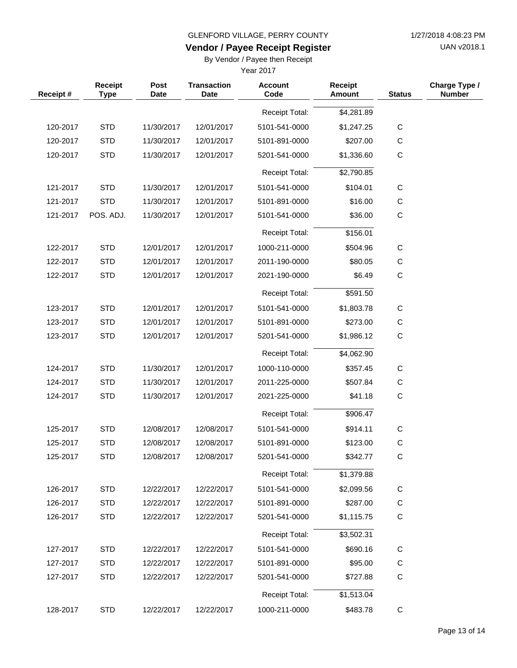UAN v2018.1

# **Vendor / Payee Receipt Register**

By Vendor / Payee then Receipt

| Receipt# | Receipt<br><b>Type</b> | Post<br><b>Date</b> | <b>Transaction</b><br><b>Date</b> | <b>Account</b><br>Code | Receipt<br><b>Amount</b> | <b>Status</b> | Charge Type /<br><b>Number</b> |
|----------|------------------------|---------------------|-----------------------------------|------------------------|--------------------------|---------------|--------------------------------|
|          |                        |                     |                                   | <b>Receipt Total:</b>  | \$4,281.89               |               |                                |
| 120-2017 | <b>STD</b>             | 11/30/2017          | 12/01/2017                        | 5101-541-0000          | \$1,247.25               | $\mathsf C$   |                                |
| 120-2017 | <b>STD</b>             | 11/30/2017          | 12/01/2017                        | 5101-891-0000          | \$207.00                 | $\mathsf C$   |                                |
| 120-2017 | <b>STD</b>             | 11/30/2017          | 12/01/2017                        | 5201-541-0000          | \$1,336.60               | $\mathsf{C}$  |                                |
|          |                        |                     |                                   | <b>Receipt Total:</b>  | \$2,790.85               |               |                                |
| 121-2017 | <b>STD</b>             | 11/30/2017          | 12/01/2017                        | 5101-541-0000          | \$104.01                 | $\mathsf{C}$  |                                |
| 121-2017 | <b>STD</b>             | 11/30/2017          | 12/01/2017                        | 5101-891-0000          | \$16.00                  | C             |                                |
| 121-2017 | POS. ADJ.              | 11/30/2017          | 12/01/2017                        | 5101-541-0000          | \$36.00                  | $\mathsf{C}$  |                                |
|          |                        |                     |                                   | <b>Receipt Total:</b>  | \$156.01                 |               |                                |
| 122-2017 | <b>STD</b>             | 12/01/2017          | 12/01/2017                        | 1000-211-0000          | \$504.96                 | $\mathsf{C}$  |                                |
| 122-2017 | <b>STD</b>             | 12/01/2017          | 12/01/2017                        | 2011-190-0000          | \$80.05                  | $\mathsf{C}$  |                                |
| 122-2017 | <b>STD</b>             | 12/01/2017          | 12/01/2017                        | 2021-190-0000          | \$6.49                   | $\mathsf{C}$  |                                |
|          |                        |                     |                                   | <b>Receipt Total:</b>  | \$591.50                 |               |                                |
| 123-2017 | <b>STD</b>             | 12/01/2017          | 12/01/2017                        | 5101-541-0000          | \$1,803.78               | C             |                                |
| 123-2017 | <b>STD</b>             | 12/01/2017          | 12/01/2017                        | 5101-891-0000          | \$273.00                 | $\mathsf{C}$  |                                |
| 123-2017 | <b>STD</b>             | 12/01/2017          | 12/01/2017                        | 5201-541-0000          | \$1,986.12               | $\mathsf C$   |                                |
|          |                        |                     |                                   | <b>Receipt Total:</b>  | \$4,062.90               |               |                                |
| 124-2017 | <b>STD</b>             | 11/30/2017          | 12/01/2017                        | 1000-110-0000          | \$357.45                 | C             |                                |
| 124-2017 | <b>STD</b>             | 11/30/2017          | 12/01/2017                        | 2011-225-0000          | \$507.84                 | $\mathsf{C}$  |                                |
| 124-2017 | <b>STD</b>             | 11/30/2017          | 12/01/2017                        | 2021-225-0000          | \$41.18                  | $\mathsf{C}$  |                                |
|          |                        |                     |                                   | <b>Receipt Total:</b>  | \$906.47                 |               |                                |
| 125-2017 | <b>STD</b>             | 12/08/2017          | 12/08/2017                        | 5101-541-0000          | \$914.11                 | C             |                                |
| 125-2017 | <b>STD</b>             | 12/08/2017          | 12/08/2017                        | 5101-891-0000          | \$123.00                 | $\mathsf C$   |                                |
| 125-2017 | <b>STD</b>             | 12/08/2017          | 12/08/2017                        | 5201-541-0000          | \$342.77                 | С             |                                |
|          |                        |                     |                                   | <b>Receipt Total:</b>  | \$1,379.88               |               |                                |
| 126-2017 | <b>STD</b>             | 12/22/2017          | 12/22/2017                        | 5101-541-0000          | \$2,099.56               | C             |                                |
| 126-2017 | <b>STD</b>             | 12/22/2017          | 12/22/2017                        | 5101-891-0000          | \$287.00                 | $\mathsf C$   |                                |
| 126-2017 | <b>STD</b>             | 12/22/2017          | 12/22/2017                        | 5201-541-0000          | \$1,115.75               | $\mathsf{C}$  |                                |
|          |                        |                     |                                   | <b>Receipt Total:</b>  | \$3,502.31               |               |                                |
| 127-2017 | <b>STD</b>             | 12/22/2017          | 12/22/2017                        | 5101-541-0000          | \$690.16                 | C             |                                |
| 127-2017 | <b>STD</b>             | 12/22/2017          | 12/22/2017                        | 5101-891-0000          | \$95.00                  | $\mathsf C$   |                                |
| 127-2017 | <b>STD</b>             | 12/22/2017          | 12/22/2017                        | 5201-541-0000          | \$727.88                 | $\mathsf{C}$  |                                |
|          |                        |                     |                                   | Receipt Total:         | \$1,513.04               |               |                                |
| 128-2017 | <b>STD</b>             | 12/22/2017          | 12/22/2017                        | 1000-211-0000          | \$483.78                 | $\mathsf C$   |                                |